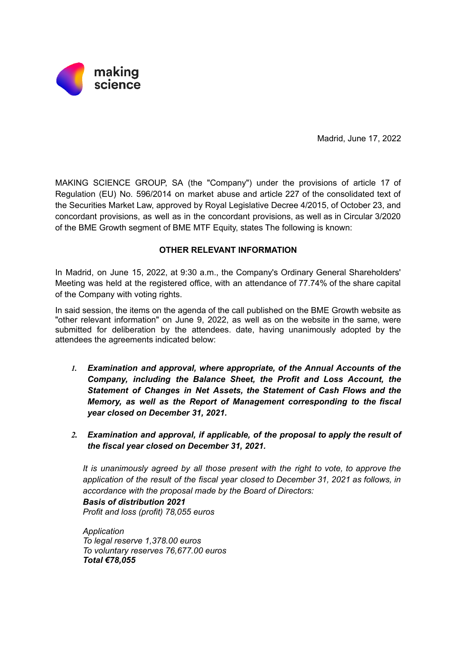

Madrid, June 17, 2022

MAKING SCIENCE GROUP, SA (the "Company") under the provisions of article 17 of Regulation (EU) No. 596/2014 on market abuse and article 227 of the consolidated text of the Securities Market Law, approved by Royal Legislative Decree 4/2015, of October 23, and concordant provisions, as well as in the concordant provisions, as well as in Circular 3/2020 of the BME Growth segment of BME MTF Equity, states The following is known:

## **OTHER RELEVANT INFORMATION**

In Madrid, on June 15, 2022, at 9:30 a.m., the Company's Ordinary General Shareholders' Meeting was held at the registered office, with an attendance of 77.74% of the share capital of the Company with voting rights.

In said session, the items on the agenda of the call published on the BME Growth website as "other relevant information" on June 9, 2022, as well as on the website in the same, were submitted for deliberation by the attendees. date, having unanimously adopted by the attendees the agreements indicated below:

- *1. Examination and approval, where appropriate, of the Annual Accounts of the Company, including the Balance Sheet, the Profit and Loss Account, the Statement of Changes in Net Assets, the Statement of Cash Flows and the Memory, as well as the Report of Management corresponding to the fiscal year closed on December 31, 2021.*
- *2. Examination and approval, if applicable, of the proposal to apply the result of the fiscal year closed on December 31, 2021.*

*It is unanimously agreed by all those present with the right to vote, to approve the application of the result of the fiscal year closed to December 31, 2021 as follows, in accordance with the proposal made by the Board of Directors:*

*Basis of distribution 2021*

*Profit and loss (profit) 78,055 euros*

*Application To legal reserve 1,378.00 euros To voluntary reserves 76,677.00 euros Total €78,055*